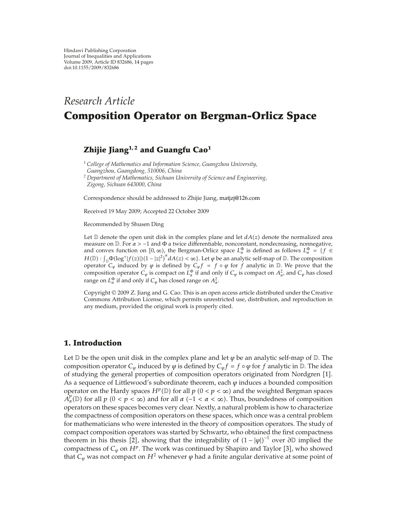# *Research Article* **Composition Operator on Bergman-Orlicz Space**

# **Zhijie Jiang1, 2 and Guangfu Cao<sup>1</sup>**

*<sup>1</sup> College of Mathematics and Information Science, Guangzhou University, Guangzhou, Guangdong, 510006, China*

*<sup>2</sup> Department of Mathematics, Sichuan University of Science and Engineering, Zigong, Sichuan 643000, China*

Correspondence should be addressed to Zhijie Jiang, matjzj@126.com

Received 19 May 2009; Accepted 22 October 2009

Recommended by Shusen Ding

Let  $D$  denote the open unit disk in the complex plane and let  $dA(z)$  denote the normalized area measure on <sup>D</sup>. For *α >* <sup>−</sup>1 and <sup>Φ</sup> a twice differentiable, nonconstant, nondecreasing, nonnegative, and convex function on  $[0, \infty)$ , the Bergman-Orlicz space  $L^{\Phi}_{\alpha}$  is defined as follows  $L^{\Phi}_{\alpha} = \{f \in$  $H(\mathbb{D}): \int_{\mathbb{D}} \Phi(\log^+ |f(z)|) (1-|z|^2)^{\alpha} dA(z) < \infty$ . Let  $\varphi$  be an analytic self-map of  $\mathbb{D}$ . The composition operator  $C_\varphi$  induced by  $\varphi$  is defined by  $C_\varphi f = f \circ \varphi$  for  $f$  analytic in D. We prove that the composition operator  $C_\varphi$  is compact on  $L^{\Phi}_{\alpha}$  if and only if  $C_\varphi$  is compact on  $A^2_{\alpha}$ , and  $C_\varphi$  has closed range on  $L^{\Phi}_{\alpha}$  if and only if  $C_{\phi}$  has closed range on  $A^2_{\alpha}$ .

Copyright  $\odot$  2009 Z. Jiang and G. Cao. This is an open access article distributed under the Creative Commons Attribution License, which permits unrestricted use, distribution, and reproduction in any medium, provided the original work is properly cited.

## **1. Introduction**

Let  $\mathbb D$  be the open unit disk in the complex plane and let  $\varphi$  be an analytic self-map of  $\mathbb D$ . The composition operator  $C_{\varphi}$  induced by  $\varphi$  is defined by  $C_{\varphi}f = f \circ \varphi$  for  $f$  analytic in  $\mathbb{D}$ . The idea of studying the general properties of composition operators originated from Nordgren [1]. As a sequence of Littlewood's subordinate theorem, each *ϕ* induces a bounded composition operator on the Hardy spaces  $H^p(\mathbb{D})$  for all  $p$   $(0 < p < \infty)$  and the weighted Bergman spaces  $\hat{A}_{\alpha}^{p}(\mathbb{D})$  for all  $p$  ( $0 < p < \infty$ ) and for all  $\alpha$  (-1 <  $\alpha < \infty$ ). Thus, boundedness of composition operators on these spaces becomes very clear. Nextly, a natural problem is how to characterize the compactness of composition operators on these spaces, which once was a central problem for mathematicians who were interested in the theory of composition operators. The study of compact composition operators was started by Schwartz, who obtained the first compactness theorem in his thesis [2], showing that the integrability of  $(1 - |\varphi|)^{-1}$  over  $\partial \mathbb{D}$  implied the compactness of  $C_\varphi$  on  $H^p$ . The work was continued by Shapiro and Taylor [3], who showed that  $C_{\varphi}$  was not compact on  $H^2$  whenever  $\varphi$  had a finite angular derivative at some point of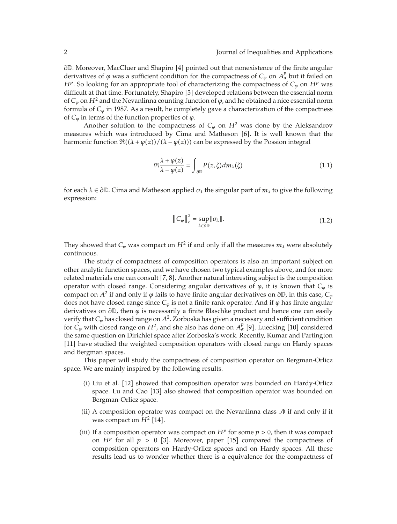∂D. Moreover, MacCluer and Shapiro [4] pointed out that nonexistence of the finite angular derivatives of  $\varphi$  was a sufficient condition for the compactness of  $C_{\varphi}$  on  $A_{\alpha}^{p}$  but it failed on *H*<sup>*p*</sup>. So looking for an appropriate tool of characterizing the compactness of  $C_\varphi$  on  $H^p$  was difficult at that time. Fortunately, Shapiro [5] developed relations between the essential norm of  $C_{\varphi}$  on  $H^2$  and the Nevanlinna counting function of  $\varphi$ , and he obtained a nice essential norm formula of *Cϕ* in 1987. As a result, he completely gave a characterization of the compactness of  $C_{\varphi}$  in terms of the function properties of  $\varphi$ .

Another solution to the compactness of  $C_\varphi$  on  $H^2$  was done by the Aleksandrov measures which was introduced by Cima and Matheson [6]. It is well known that the harmonic function  $\Re((\lambda + \varphi(z)) / (\lambda - \varphi(z)))$  can be expressed by the Possion integral

$$
\Re \frac{\lambda + \varphi(z)}{\lambda - \varphi(z)} = \int_{\partial \mathbb{D}} P(z, \zeta) dm_{\lambda}(\zeta)
$$
 (1.1)

for each  $\lambda \in \partial \mathbb{D}$ . Cima and Matheson applied  $\sigma_{\lambda}$  the singular part of  $m_{\lambda}$  to give the following expression:

$$
\left\|C_{\varphi}\right\|_{e}^{2} = \sup_{\lambda \in \partial \mathbb{D}} \|\sigma_{\lambda}\|.
$$
 (1.2)

They showed that  $C_{\varphi}$  was compact on  $H^2$  if and only if all the measures  $m_{\lambda}$  were absolutely continuous.

The study of compactness of composition operators is also an important subject on other analytic function spaces, and we have chosen two typical examples above, and for more related materials one can consult  $[7, 8]$ . Another natural interesting subject is the composition operator with closed range. Considering angular derivatives of *ϕ*, it is known that *Cϕ* is compact on  $A^2$  if and only if  $\varphi$  fails to have finite angular derivatives on  $\partial \mathbb{D}$ , in this case,  $C_{\varphi}$ does not have closed range since *Cϕ* is not a finite rank operator. And if *ϕ* has finite angular derivatives on *∂*D, then *ϕ* is necessarily a finite Blaschke product and hence one can easily verify that  $C_\varphi$  has closed range on  $A^2$ . Zorboska has given a necessary and sufficient condition for  $C_{\varphi}$  with closed range on  $H^2$ , and she also has done on  $A_{\alpha}^p$  [9]. Luecking [10] considered the same question on Dirichlet space after Zorboska's work. Recently, Kumar and Partington [11] have studied the weighted composition operators with closed range on Hardy spaces and Bergman spaces.

This paper will study the compactness of composition operator on Bergman-Orlicz space. We are mainly inspired by the following results.

- (i) Liu et al. [12] showed that composition operator was bounded on Hardy-Orlicz space. Lu and Cao [13] also showed that composition operator was bounded on Bergman-Orlicz space.
- (ii) A composition operator was compact on the Nevanlinna class  $\mathcal N$  if and only if it was compact on  $H^2$  [14].
- (iii) If a composition operator was compact on  $H^p$  for some  $p > 0$ , then it was compact on  $H^p$  for all  $p > 0$  [3]. Moreover, paper [15] compared the compactness of composition operators on Hardy-Orlicz spaces and on Hardy spaces. All these results lead us to wonder whether there is a equivalence for the compactness of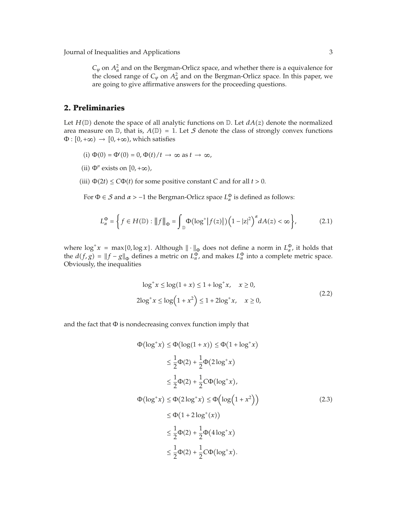$C_{\varphi}$  on  $A^2_{\alpha}$  and on the Bergman-Orlicz space, and whether there is a equivalence for the closed range of  $C_{\varphi}$  on  $A_{\alpha}^2$  and on the Bergman-Orlicz space. In this paper, we are going to give affirmative answers for the proceeding questions.

## **2. Preliminaries**

Let  $H(\mathbb{D})$  denote the space of all analytic functions on  $\mathbb{D}$ . Let  $dA(z)$  denote the normalized area measure on  $\mathbb{D}$ , that is,  $A(\mathbb{D}) = 1$ . Let S denote the class of strongly convex functions  $\Phi : [0, +\infty) \rightarrow [0, +\infty)$ , which satisfies

- (i)  $\Phi(0) = \Phi'(0) = 0$ ,  $\Phi(t)/t \to \infty$  as  $t \to \infty$ ,
- (ii)  $\Phi''$  exists on  $[0, +\infty)$ ,
- (iii)  $\Phi(2t) \leq C\Phi(t)$  for some positive constant *C* and for all  $t > 0$ .

For  $\Phi \in \mathcal{S}$  and  $\alpha > -1$  the Bergman-Orlicz space  $L^{\Phi}_{\alpha}$  is defined as follows:

$$
L_{\alpha}^{\Phi} = \left\{ f \in H(\mathbb{D}) : ||f||_{\Phi} = \int_{\mathbb{D}} \Phi(\log^+ |f(z)|) \left(1 - |z|^2\right)^{\alpha} dA(z) < \infty \right\},\tag{2.1}
$$

where  $\log^+ x = \max\{0, \log x\}$ . Although  $\|\cdot\|_{\Phi}$  does not define a norm in  $L^{\Phi}_{\alpha}$ , it holds that the  $d(f, g) = ||f - g||_{\Phi}$  defines a metric on  $L_{\alpha}^{\Phi}$ , and makes  $L_{\alpha}^{\Phi}$  into a complete metric space. Obviously, the inequalities

$$
\log^{+} x \le \log(1 + x) \le 1 + \log^{+} x, \quad x \ge 0,
$$
  
2
$$
\log^{+} x \le \log(1 + x^{2}) \le 1 + 2\log^{+} x, \quad x \ge 0,
$$
 (2.2)

and the fact that  $\Phi$  is nondecreasing convex function imply that

$$
\Phi(\log^{+} x) \leq \Phi(\log(1 + x)) \leq \Phi(1 + \log^{+} x)
$$
\n
$$
\leq \frac{1}{2}\Phi(2) + \frac{1}{2}\Phi(2\log^{+} x)
$$
\n
$$
\leq \frac{1}{2}\Phi(2) + \frac{1}{2}C\Phi(\log^{+} x),
$$
\n
$$
\Phi(\log^{+} x) \leq \Phi(2\log^{+} x) \leq \Phi(\log(1 + x^{2}))
$$
\n
$$
\leq \Phi(1 + 2\log^{+}(x))
$$
\n
$$
\leq \frac{1}{2}\Phi(2) + \frac{1}{2}\Phi(4\log^{+} x)
$$
\n
$$
\leq \frac{1}{2}\Phi(2) + \frac{1}{2}C\Phi(\log^{+} x).
$$
\n(2.3)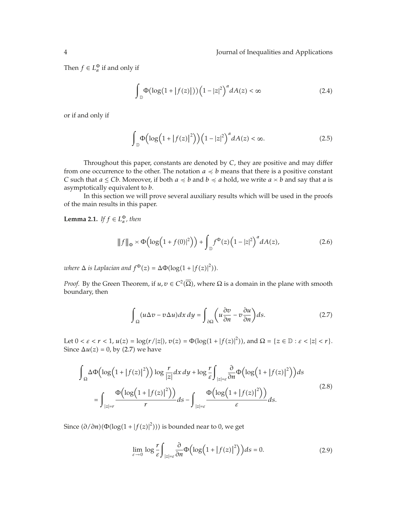Then  $f \in L^{\Phi}_{\alpha}$  if and only if

$$
\int_{\mathbb{D}} \Phi(\log(1+|f(z)|)) \left(1-|z|^2\right)^{\alpha} dA(z) < \infty \tag{2.4}
$$

or if and only if

$$
\int_{\mathbb{D}} \Phi\left(\log\left(1+|f(z)|^2\right)\right) \left(1-|z|^2\right)^{\alpha} dA(z) < \infty. \tag{2.5}
$$

Throughout this paper, constants are denoted by *C*, they are positive and may differ from one occurrence to the other. The notation  $a \preccurlyeq b$  means that there is a positive constant *C* such that  $a \leq Cb$ . Moreover, if both  $a \preccurlyeq b$  and  $b \preccurlyeq a$  hold, we write  $a \asymp b$  and say that  $a$  is asymptotically equivalent to *b*.

In this section we will prove several auxiliary results which will be used in the proofs of the main results in this paper.

**Lemma 2.1.** *If*  $f \in L^{\Phi}_{\alpha}$ *, then* 

$$
||f||_{\Phi} \asymp \Phi\left(\log\left(1+f(0)|^2\right)\right) + \int_{\mathbb{D}} f^{\Phi}(z) \left(1-|z|^2\right)^{\alpha} dA(z),\tag{2.6}
$$

*where*  $\Delta$  *is Laplacian and*  $f^{\Phi}(z) = \Delta \Phi(\log(1 + |f(z)|^2)).$ 

*Proof.* By the Green Theorem, if  $u, v \in C^2(\Omega)$ , where  $\Omega$  is a domain in the plane with smooth boundary, then

$$
\int_{\Omega} (u\Delta v - v\Delta u) dx dy = \int_{\partial\Omega} \left( u \frac{\partial v}{\partial n} - v \frac{\partial u}{\partial n} \right) ds.
$$
 (2.7)

Let  $0 < \varepsilon < r < 1$ ,  $u(z) = \log(r/|z|)$ ,  $v(z) = \Phi(\log(1 + |f(z)|^2))$ , and  $\Omega = \{z \in \mathbb{D} : \varepsilon < |z| < r\}$ . Since  $\Delta u(z) = 0$ , by (2.7) we have

$$
\int_{\Omega} \Delta \Phi \left( \log \left( 1 + |f(z)|^2 \right) \right) \log \frac{r}{|z|} dx dy + \log \frac{r}{\varepsilon} \int_{|z|=\varepsilon} \frac{\partial}{\partial n} \Phi \left( \log \left( 1 + |f(z)|^2 \right) \right) ds
$$
\n
$$
= \int_{|z|=r} \frac{\Phi \left( \log \left( 1 + |f(z)|^2 \right) \right)}{r} ds - \int_{|z|=\varepsilon} \frac{\Phi \left( \log \left( 1 + |f(z)|^2 \right) \right)}{\varepsilon} ds.
$$
\n(2.8)

Since  $\left(\frac{\partial}{\partial n}\right)\left(\Phi(\log(1+|f(z)|^2))\right)$  is bounded near to 0, we get

$$
\lim_{\varepsilon \to 0} \log \frac{r}{\varepsilon} \int_{|z| = \varepsilon} \frac{\partial}{\partial n} \Phi\Big(\log \Big(1 + |f(z)|^2\Big)\Big) ds = 0. \tag{2.9}
$$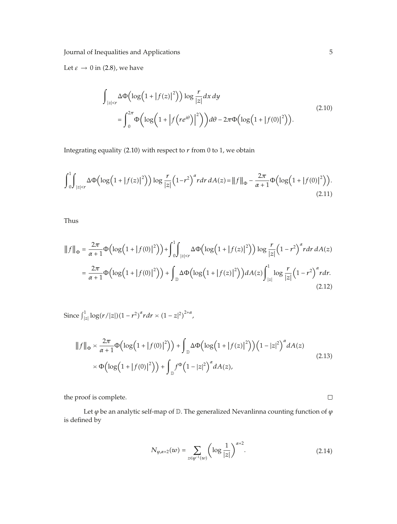Let  $\varepsilon \to 0$  in (2.8), we have

$$
\int_{|z|\n
$$
= \int_0^{2\pi} \Phi\left(\log\left(1+|f(re^{i\theta})|^2\right)\right) d\theta - 2\pi \Phi\left(\log\left(1+|f(0)|^2\right)\right).
$$
\n(2.10)
$$

Integrating equality (2.10) with respect to  $r$  from 0 to 1, we obtain

$$
\int_0^1 \int_{|z| < r} \Delta \Phi\left(\log\left(1 + |f(z)|^2\right)\right) \log \frac{r}{|z|} \left(1 - r^2\right)^\alpha r dr \, dA(z) = \|f\|_{\Phi} - \frac{2\pi}{\alpha + 1} \Phi\left(\log\left(1 + |f(0)|^2\right)\right).
$$
\n(2.11)

Thus

$$
||f||_{\Phi} = \frac{2\pi}{\alpha+1} \Phi\left(\log\left(1+|f(0)|^2\right)\right) + \int_0^1 \int_{|z| < r} \Delta \Phi\left(\log\left(1+|f(z)|^2\right)\right) \log \frac{r}{|z|} \left(1-r^2\right)^{\alpha} r dr dA(z)
$$

$$
= \frac{2\pi}{\alpha+1} \Phi\left(\log\left(1+|f(0)|^2\right)\right) + \int_{\mathbb{D}} \Delta \Phi\left(\log\left(1+|f(z)|^2\right)\right) dA(z) \int_{|z|}^1 \log \frac{r}{|z|} \left(1-r^2\right)^{\alpha} r dr. \tag{2.12}
$$

Since  $\int_{|z|}^{1} \log(r/|z|) (1 - r^2)^{\alpha} r dr \asymp (1 - z|^2)^{2+\alpha}$ ,

$$
||f||_{\Phi} \times \frac{2\pi}{\alpha+1} \Phi\left(\log\left(1+|f(0)|^2\right)\right) + \int_{\mathbb{D}} \Delta \Phi\left(\log\left(1+|f(z)|^2\right)\right) \left(1-|z|^2\right)^{\alpha} dA(z)
$$
  
 
$$
\times \Phi\left(\log\left(1+|f(0)|^2\right)\right) + \int_{\mathbb{D}} f^{\Phi}\left(1-|z|^2\right)^{\alpha} dA(z), \tag{2.13}
$$

the proof is complete.

Let  $\varphi$  be an analytic self-map of  $\mathbb D.$  The generalized Nevanlinna counting function of  $\varphi$ is defined by

$$
N_{\varphi,\alpha+2}(w) = \sum_{z \in \varphi^{-1}(w)} \left( \log \frac{1}{|z|} \right)^{\alpha+2}.
$$
 (2.14)

 $\Box$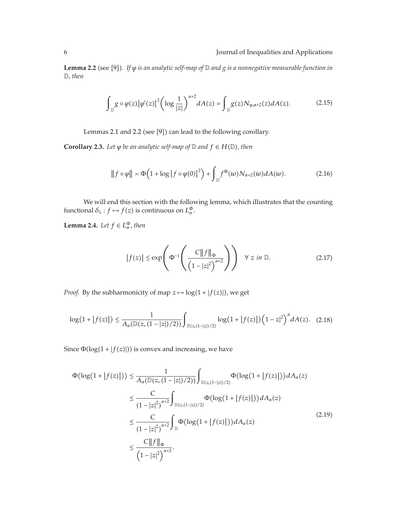**Lemma 2.2** (see [9]). If  $\varphi$  *is an analytic self-map of D and g is a nonnegative measurable function in* D*, then*

$$
\int_{\mathbb{D}} g \circ \varphi(z) |\varphi'(z)|^2 \bigg( \log \frac{1}{|z|} \bigg)^{\alpha+2} dA(z) = \int_{\mathbb{D}} g(z) N_{\varphi, \alpha+2}(z) dA(z). \tag{2.15}
$$

Lemmas 2.1 and 2.2 (see [9]) can lead to the following corollary.

**Corollary 2.3.** *Let*  $\varphi$  *be an analytic self-map of*  $\mathbb D$  *and*  $f \in H(\mathbb D)$ *, then* 

$$
||f \circ \varphi|| \asymp \Phi\Big(1 + \log|f \circ \varphi(0)|^2\Big) + \int_{\mathbb{D}} f^{\Phi}(w) N_{\alpha+2}(w) dA(w). \tag{2.16}
$$

We will end this section with the following lemma, which illustrates that the counting functional  $\delta_z : f \mapsto f(z)$  is continuous on  $L^{\Phi}_\alpha$ .

**Lemma 2.4.** *Let*  $f \in L^{\Phi}_{\alpha}$ *, then* 

$$
|f(z)| \le \exp\left(\Phi^{-1}\left(\frac{C\|f\|_{\Phi}}{\left(1-|z|^2\right)^{\alpha+2}}\right)\right) \quad \forall \ z \ in \ \mathbb{D}.\tag{2.17}
$$

*Proof.* By the subharmonicity of map  $z \mapsto \log(1 + |f(z)|)$ , we get

$$
\log(1+|f(z)|) \le \frac{1}{A_{\alpha}(\mathbb{D}(z,(1-|z|)/2))} \int_{\mathbb{D}(z,(1-|z|)/2)} \log(1+|f(z)|) (1-z|^2)^{\alpha} dA(z). \quad (2.18)
$$

Since  $\Phi(\log(1+|f(z)|))$  is convex and increasing, we have

$$
\Phi(\log(1+|f(z)|)) \leq \frac{1}{A_{\alpha}(\mathbb{D}(z,(1-|z|)/2))} \int_{\mathbb{D}(z,(1-|z|)/2)} \Phi(\log(1+|f(z)|)) dA_{\alpha}(z)
$$
\n
$$
\leq \frac{C}{(1-|z|^2)^{\alpha+2}} \int_{\mathbb{D}(z,(1-|z|)/2)} \Phi(\log(1+|f(z)|)) dA_{\alpha}(z)
$$
\n
$$
\leq \frac{C}{(1-|z|^2)^{\alpha+2}} \int_{\mathbb{D}} \Phi(\log(1+|f(z)|)) dA_{\alpha}(z)
$$
\n
$$
\leq \frac{C||f||_{\Phi}}{(1-|z|^2)^{\alpha+2}}.
$$
\n(2.19)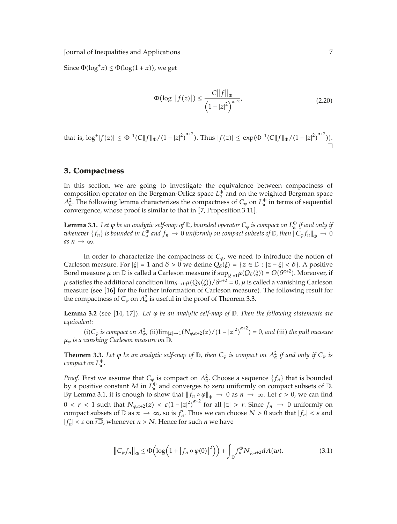Since  $\Phi(\log^+ x) \leq \Phi(\log(1+x))$ , we get

$$
\Phi(\log^+|f(z)|) \le \frac{C\|f\|_{\Phi}}{\left(1-|z|^2\right)^{\alpha+2}},\tag{2.20}
$$

that is, 
$$
\log^+|f(z)| \leq \Phi^{-1}(C||f||_{\Phi}/(1-|z|^2)^{\alpha+2})
$$
. Thus  $|f(z)| \leq \exp(\Phi^{-1}(C||f||_{\Phi}/(1-|z|^2)^{\alpha+2}))$ .

#### **3. Compactness**

In this section, we are going to investigate the equivalence between compactness of composition operator on the Bergman-Orlicz space  $L^{\Phi}_{\alpha}$  and on the weighted Bergman space *A*<sub>*α*</sub>. The following lemma characterizes the compactness of  $C_{\varphi}$  on  $L^{\Phi}_{\alpha}$  in terms of sequential convergence, whose proof is similar to that in [7, Proposition 3.11].

**Lemma 3.1.** Let  $\varphi$  be an analytic self-map of  $\mathbb D$ , bounded operator  $C_{\varphi}$  is compact on  $L^{\Phi}_{\alpha}$  if and only if  $a$  *whenever*  $\{f_n\}$  *is bounded in*  $L^\Phi_\alpha$  *and*  $f_n\to 0$  *uniformly on compact subsets of*  $\mathbb D$ *, then*  $\|C_\phi f_n\|_\Phi\to 0$  $as n \rightarrow \infty$ .

In order to characterize the compactness of  $C_{\varphi}$ , we need to introduce the notion of Carleson measure. For  $|\xi| = 1$  and  $\delta > 0$  we define  $Q_{\delta}(\xi) = \{z \in \mathbb{D} : |z - \xi| < \delta\}$ . A positive Borel measure *μ* on  $D$  is called a Carleson measure if  $\sup_{|\xi|=1} \mu(Q_{\delta}(\xi)) = O(\delta^{\alpha+2})$ . Moreover, if *μ* satisfies the additional condition  $\lim_{\delta\to 0} \mu(Q_\delta(\xi))/\delta^{\alpha+2} = 0$ ,  $\mu$  is called a vanishing Carleson measure (see [16] for the further information of Carleson measure). The following result for the compactness of  $C_{\varphi}$  on  $A_{\alpha}^2$  is useful in the proof of Theorem 3.3.

Lemma 3.2 (see [14, 17]). Let *φ* be an analytic self-map of D. Then the following statements are *equivalent:*

 $(i)$ *C*<sub> $\varphi$ </sub> *is compact on*  $A^2_{\alpha}$ ,  $(ii)$   $\lim_{|z|\to 1} (N_{\varphi,\alpha+2}(z)/(1-|z|^2)^{\alpha+2}) = 0$ , and (iii) the pull measure *μϕ is a vanshing Carleson measure on* D*.*

**Theorem 3.3.** Let  $\varphi$  be an analytic self-map of  $\mathbb{D}$ , then  $C_{\varphi}$  is compact on  $A^2_{\alpha}$  if and only if  $C_{\varphi}$  is *compact on*  $L^{\Phi}_{\alpha}$ *.* 

*Proof.* First we assume that  $C_{\varphi}$  is compact on  $A_{\alpha}^2$ . Choose a sequence  $\{f_n\}$  that is bounded by a positive constant *M* in  $L^{\Phi}_{\alpha}$  and converges to zero uniformly on compact subsets of  $\mathbb{D}$ . By Lemma 3.1, it is enough to show that  $||f_n \circ \varphi||_{\Phi} \to 0$  as  $n \to \infty$ . Let  $\varepsilon > 0$ , we can find  $0 < r < 1$  such that  $N_{\varphi,a+2}(z) < \varepsilon (1-|z|^2)^{a+2}$  for all  $|z| > r$ . Since  $f_n \to 0$  uniformly on compact subsets of  $D$  as  $n \to \infty$ , so is  $f'_n$ . Thus we can choose  $N > 0$  such that  $|f_n| < \varepsilon$  and  $|f'_n| < \varepsilon$  on  $\overline{r\mathbb{D}}$ , whenever  $n > N$ . Hence for such  $n$  we have

$$
\|C_{\varphi}f_n\|_{\Phi} \leq \Phi\Big(\log\Big(1+|f_n \circ \varphi(0)|^2\Big)\Big) + \int_{\mathbb{D}} f_n^{\Phi} N_{\varphi, \alpha+2} dA(w). \tag{3.1}
$$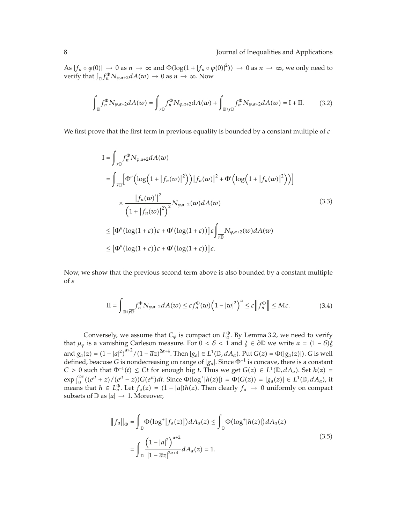As  $|f_n \circ \varphi(0)| \to 0$  as  $n \to \infty$  and  $\Phi(\log(1+|f_n \circ \varphi(0)|^2)) \to 0$  as  $n \to \infty$ , we only need to verify that  $\int_{\mathbb{D}} f_n^{\Phi} N_{\varphi, \alpha+2} dA(w) \to 0$  as  $n \to \infty$ . Now

$$
\int_{\mathbb{D}} f_n^{\Phi} N_{\varphi, \alpha+2} dA(w) = \int_{\mathcal{F}\mathbb{D}} f_n^{\Phi} N_{\varphi, \alpha+2} dA(w) + \int_{\mathbb{D}\backslash \mathcal{F}\mathbb{D}} f_n^{\Phi} N_{\varphi, \alpha+2} dA(w) = I + II.
$$
 (3.2)

We first prove that the first term in previous equality is bounded by a constant multiple of *ε*

$$
I = \int_{\overline{r}D} f_n^{\Phi} N_{\varphi, \alpha+2} dA(w)
$$
  
\n
$$
= \int_{\overline{r}D} \left[ \Phi'' \left( \log \left( 1 + |f_n(w)|^2 \right) \right) |f_n(w)|^2 + \Phi' \left( \log \left( 1 + |f_n(w)|^2 \right) \right) \right]
$$
  
\n
$$
\times \frac{|f_n(w')|^2}{\left( 1 + |f_n(w)|^2 \right)^2} N_{\varphi, \alpha+2}(w) dA(w)
$$
  
\n
$$
\leq \left[ \Phi'' \left( \log(1+\varepsilon) \right) \varepsilon + \Phi' \left( \log(1+\varepsilon) \right) \right] \varepsilon \int_{\overline{r}D} N_{\varphi, \alpha+2}(w) dA(w)
$$
  
\n
$$
\leq \left[ \Phi'' \left( \log(1+\varepsilon) \right) \varepsilon + \Phi' \left( \log(1+\varepsilon) \right) \right] \varepsilon.
$$
 (3.3)

Now, we show that the previous second term above is also bounded by a constant multiple of *ε*

$$
\Pi = \int_{\mathbb{D}\setminus\overline{r\mathbb{D}}} f_n^{\Phi} N_{\varphi,\alpha+2} dA(w) \leq \varepsilon f_n^{\Phi}(w) \left(1 - |w|^2\right)^{\alpha} \leq \varepsilon \left\|f_n^{\Phi}\right\| \leq M\varepsilon. \tag{3.4}
$$

Conversely, we assume that  $C_{\varphi}$  is compact on  $L_{\alpha}^{\Phi}$ . By Lemma 3.2, we need to verify that  $\mu_{\varphi}$  is a vanishing Carleson measure. For  $0 < \delta < 1$  and  $\xi \in \partial \mathbb{D}$  we write  $a = (1 - \delta)\xi$ and  $g_a(z) = (1 - |a|^2)^{\alpha+2} / (1 - \overline{a}z)^{2\alpha+4}$ . Then  $|g_a| \in L^1(\mathbb{D}, dA_\alpha)$ . Put  $G(z) = \Phi(|g_a(z)|)$ . *G* is well defined, beacuse *G* is nondecreasing on range of |*ga*|. Since Φ−<sup>1</sup> is concave, there is a constant  $C > 0$  such that  $\Phi^{-1}(t) \le Ct$  for enough big *t*. Thus we get  $G(z) \in L^1(\mathbb{D}, dA_\alpha)$ . Set  $h(z) =$  $\exp\int_0^{2\pi} ((e^{it} + z)/(e^{it} - z))G(e^{it})dt$ . Since  $\Phi(\log^+ |h(z)|) = \Phi(G(z)) = |g_a(z)| \in L^1(\mathbb{D}, dA_a)$ , it means that  $h \in L^{\Phi}_{\alpha}$ . Let  $f_{a}(z) = (1 - |a|)h(z)$ . Then clearly  $f_{a} \to 0$  uniformly on compact subsets of  $\mathbb{D}$  as  $|a| \to 1$ . Moreover,

$$
||f_a||_{\Phi} = \int_{\mathbb{D}} \Phi(\log^+ |f_a(z)|) dA_{\alpha}(z) \le \int_{\mathbb{D}} \Phi(\log^+ |h(z)|) dA_{\alpha}(z)
$$
  

$$
= \int_{\mathbb{D}} \frac{\left(1 - |a|^2\right)^{\alpha+2}}{|1 - \overline{a}z|^{2\alpha+4}} dA_{\alpha}(z) = 1.
$$
 (3.5)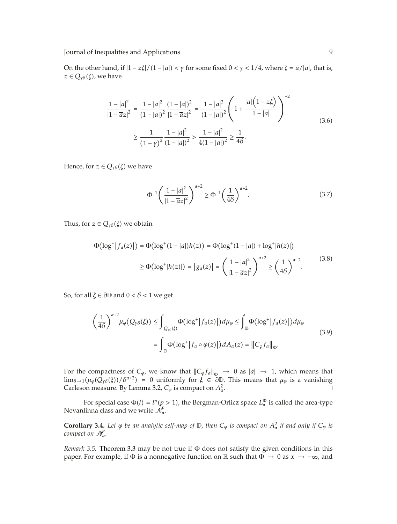On the other hand, if  $|1 - z\zeta|/(1 - |a|) < \gamma$  for some fixed  $0 < \gamma < 1/4$ , where  $\zeta = a/|a|$ , that is,  $z \in Q_{\gamma\delta}(\zeta)$ , we have

$$
\frac{1-|a|^2}{|1-\overline{a}z|^2} = \frac{1-|a|^2}{(1-|a|)^2} \frac{(1-|a|)^2}{|1-\overline{a}z|^2} = \frac{1-|a|^2}{(1-|a|)^2} \left(1 + \frac{|a|\left(1-z\overline{\zeta}\right)}{1-|a|}\right)^{-2}
$$
  

$$
\geq \frac{1}{\left(1+\gamma\right)^2} \frac{1-|a|^2}{(1-|a|)^2} > \frac{1-|a|^2}{4(1-|a|)^2} \geq \frac{1}{4\delta}.
$$
 (3.6)

Hence, for  $z \in Q_{\gamma\delta}(\zeta)$  we have

$$
\Phi^{-1}\left(\frac{1-|a|^2}{|1-\overline{a}z|^2}\right)^{\alpha+2} \ge \Phi^{-1}\left(\frac{1}{4\delta}\right)^{\alpha+2}.\tag{3.7}
$$

Thus, for  $z \in Q_{\gamma\delta}(\zeta)$  we obtain

$$
\Phi(\log^+|f_a(z)|) = \Phi(\log^+(1-|a|)h(z)) = \Phi(\log^+(1-|a|) + \log^+|h(z)|)
$$
  
\n
$$
\ge \Phi(\log^+|h(z)|) = |g_a(z)| = \left(\frac{1-|a|^2}{|1-\overline{a}z|^2}\right)^{\alpha+2} \ge \left(\frac{1}{4\delta}\right)^{\alpha+2}.
$$
\n(3.8)

So, for all  $\xi \in \partial \mathbb{D}$  and  $0 < \delta < 1$  we get

$$
\left(\frac{1}{4\delta}\right)^{\alpha+2} \mu_{\varphi}(Q_{\gamma\delta}(\xi)) \le \int_{Q_{\gamma\delta}(\xi)} \Phi(\log^+ |f_a(z)|) d\mu_{\varphi} \le \int_{\mathbb{D}} \Phi(\log^+ |f_a(z)|) d\mu_{\varphi}
$$
\n
$$
= \int_{\mathbb{D}} \Phi(\log^+ |f_a \circ \varphi(z)|) dA_{\alpha}(z) = ||C_{\varphi}f_a||_{\Phi}.
$$
\n(3.9)

For the compactness of  $C_{\varphi}$ , we know that  $\|C_{\varphi}f_a\|_{\Phi} \to 0$  as  $|a| \to 1$ , which means that  $\lim_{\delta \to 1} (\mu_{\varphi}(\hat{Q}_{\gamma\delta}(\xi))/\delta^{\alpha+2}) = 0$  uniformly for  $\xi \in \partial \mathbb{D}$ . This means that  $\mu_{\varphi}$  is a vanishing Carleson measure. By Lemma 3.2,  $C_{\varphi}$  is compact on  $A_{\alpha}^2$ .

For special case  $\Phi(t) = t^p (p > 1)$ , the Bergman-Orlicz space  $L^{\Phi}_{\alpha}$  is called the area-type Nevanlinna class and we write  $\mathcal{N}_\alpha^p$ .

**Corollary 3.4.** Let  $\varphi$  be an analytic self-map of  $\mathbb{D}$ , then  $C_{\varphi}$  is compact on  $A^2_{\alpha}$  if and only if  $C_{\varphi}$  is *compact on*  $\mathcal{N}_{\alpha}^p$ .

*Remark 3.5.* Theorem 3.3 may be not true if Φ does not satisfy the given conditions in this paper. For example, if <sup>Φ</sup> is a nonnegative function on <sup>R</sup> such that <sup>Φ</sup> <sup>→</sup> 0 as *<sup>x</sup>* → −∞, and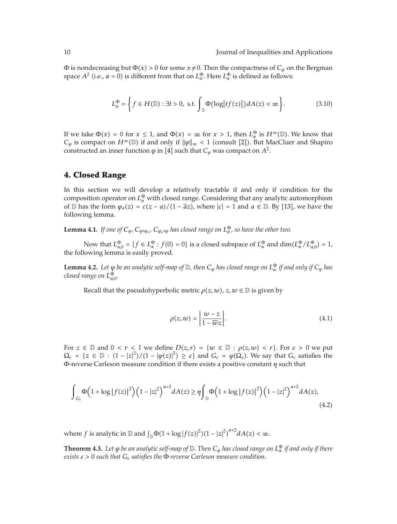$\Phi$  is nondecreasing but  $\Phi(x) > 0$  for some  $x \neq 0$ . Then the compactness of  $C_\varphi$  on the Bergman space  $A^2$  (i.e.,  $\alpha = 0$ ) is different from that on  $L^{\Phi}_{\alpha}$ . Here  $L^{\Phi}_{\alpha}$  is defined as follows:

$$
L_{\alpha}^{\Phi} = \left\{ f \in H(\mathbb{D}) : \exists t > 0, \text{ s.t.} \int_{\mathbb{D}} \Phi(\log|tf(z)|) dA(z) < \infty \right\}.
$$
\n
$$
(3.10)
$$

If we take  $\Phi(x) = 0$  for  $x \le 1$ , and  $\Phi(x) = \infty$  for  $x > 1$ , then  $L^{\Phi}_\alpha$  is  $H^\infty(\mathbb{D})$ . We know that  $C_{\varphi}$  is compact on  $H^{\infty}(\mathbb{D})$  if and only if  $\|\varphi\|_{\infty} < 1$  (consult [2]). But MacCluer and Shapiro constructed an inner function  $\varphi$  in [4] such that  $C_{\varphi}$  was compact on  $A^2$ .

# **4. Closed Range**

In this section we will develop a relatively tractable if and only if condition for the composition operator on  $L^{\Phi}_{\alpha}$  with closed range. Considering that any analytic automorphism of  $\mathbb D$  has the form  $\varphi_a(z) = c(z - a)/(1 - \overline{a}z)$ , where  $|c| = 1$  and  $a \in \mathbb D$ . By [13], we have the following lemma.

**Lemma 4.1.** *If one of*  $C_{\varphi}$ ,  $C_{\varphi \circ \varphi_a}$ ,  $C_{\varphi_a \circ \varphi}$  has closed range on  $L^{\Phi}_{\alpha}$ , so have the other two.

Now that  $L_{\alpha,0}^{\Phi} = \{f \in L_{\alpha}^{\Phi} : f(0) = 0\}$  is a closed subspace of  $L_{\alpha}^{\Phi}$  and  $\dim(L_{\alpha}^{\Phi}/L_{\alpha,0}^{\Phi}) = 1$ , the following lemma is easily proved.

**Lemma 4.2.** Let  $\varphi$  be an analytic self-map of  $\mathbb D$ , then  $C_\varphi$  has closed range on  $L^\Phi_\alpha$  if and only if  $C_\varphi$  has *closed range on L* $_{\alpha,0}^{\Phi}$ .

Recall that the pseudohyperbolic metric  $\rho(z, w)$ ,  $z, w \in \mathbb{D}$  is given by

$$
\rho(z, w) = \left| \frac{w - z}{1 - \overline{w}z} \right|.
$$
\n(4.1)

For  $z \in \mathbb{D}$  and  $0 < r < 1$  we define  $D(z,r) = \{w \in \mathbb{D} : \rho(z,w) < r\}$ . For  $\varepsilon > 0$  we put  $\Omega_{\varepsilon} = \{z \in \mathbb{D} : (1 - |z|^2) / (1 - |\varphi(z)|^2) \geq \varepsilon\}$  and  $G_{\varepsilon} = \varphi(\Omega_{\varepsilon})$ . We say that  $G_{\varepsilon}$  satisfies the Φ-reverse Carleson measure condition if there exists a positive constant *η* such that

$$
\int_{G_{\varepsilon}} \Phi\Big(1 + \log|f(z)|^2\Big) \Big(1 - |z|^2\Big)^{\alpha+2} dA(z) \ge \eta \int_{\mathbb{D}} \Phi\Big(1 + \log|f(z)|^2\Big) \Big(1 - |z|^2\Big)^{\alpha+2} dA(z),\tag{4.2}
$$

where *f* is analytic in  $\mathbb{D}$  and  $\int_{\mathbb{D}} \Phi(1 + \log |f(z)|^2) (1 - |z|^2)^{\alpha+2} dA(z) < \infty$ .

**Theorem 4.3.** Let  $\varphi$  be an analytic self-map of  $\mathbb D$ . Then  $C_\varphi$  has closed range on  $L^\Phi_\alpha$  if and only if there *exists ε >* 0 *such that Gε satisfies the* Φ*-reverse Carleson measure condition.*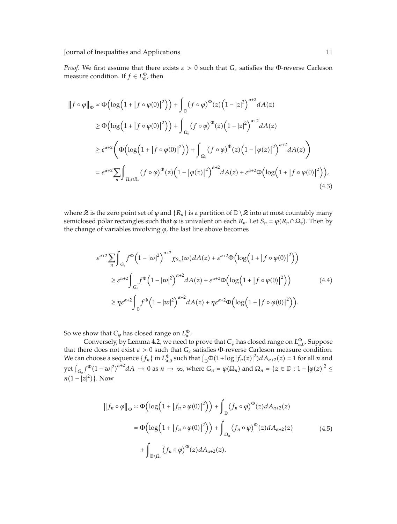*Proof.* We first assume that there exists  $\varepsilon > 0$  such that  $G_{\varepsilon}$  satisfies the Φ-reverse Carleson measure condition. If  $f \in L^{\Phi}_{\alpha}$ , then

$$
\|f \circ \varphi\|_{\Phi} \asymp \Phi\Big(\log\Big(1+|f \circ \varphi(0)|^2\Big)\Big) + \int_{\mathbb{D}} (f \circ \varphi)^{\Phi}(z) \Big(1-|z|^2\Big)^{\alpha+2} dA(z)
$$
  
\n
$$
\ge \Phi\Big(\log\Big(1+|f \circ \varphi(0)|^2\Big)\Big) + \int_{\Omega_{\varepsilon}} (f \circ \varphi)^{\Phi}(z) \Big(1-|z|^2\Big)^{\alpha+2} dA(z)
$$
  
\n
$$
\ge \varepsilon^{\alpha+2} \Bigg(\Phi\Big(\log\Big(1+|f \circ \varphi(0)|^2\Big)\Big) + \int_{\Omega_{\varepsilon}} (f \circ \varphi)^{\Phi}(z) \Big(1-|\varphi(z)|^2\Big)^{\alpha+2} dA(z)\Big)
$$
  
\n
$$
= \varepsilon^{\alpha+2} \sum_{n} \int_{\Omega_{\varepsilon} \cap R_n} (f \circ \varphi)^{\Phi}(z) \Big(1-|\varphi(z)|^2\Big)^{\alpha+2} dA(z) + \varepsilon^{\alpha+2} \Phi\Big(\log\Big(1+|f \circ \varphi(0)|^2\Big)\Big), \tag{4.3}
$$

where  $\mathcal Z$  is the zero point set of  $\varphi$  and  $\{R_n\}$  is a partition of  $\mathbb D\setminus\mathcal Z$  into at most countably many semiclosed polar rectangles such that  $\varphi$  is univalent on each  $R_n$ . Let  $S_n = \varphi(R_n \cap \Omega_\varepsilon)$ . Then by the change of variables involving *ϕ*, the last line above becomes

$$
\varepsilon^{\alpha+2} \sum_{n} \int_{G_{\varepsilon}} f^{\Phi} \Big( 1 - |w|^2 \Big)^{\alpha+2} \chi_{S_n}(w) dA(z) + \varepsilon^{\alpha+2} \Phi \Big( \log \Big( 1 + |f \circ \varphi(0)|^2 \Big) \Big)
$$
  
\n
$$
\geq \varepsilon^{\alpha+2} \int_{G_{\varepsilon}} f^{\Phi} \Big( 1 - |w|^2 \Big)^{\alpha+2} dA(z) + \varepsilon^{\alpha+2} \Phi \Big( \log \Big( 1 + |f \circ \varphi(0)|^2 \Big) \Big)
$$
  
\n
$$
\geq \eta \varepsilon^{\alpha+2} \int_{\mathbb{D}} f^{\Phi} \Big( 1 - |w|^2 \Big)^{\alpha+2} dA(z) + \eta \varepsilon^{\alpha+2} \Phi \Big( \log \Big( 1 + |f \circ \varphi(0)|^2 \Big) \Big).
$$
 (4.4)

So we show that  $C_{\varphi}$  has closed range on  $L_{\alpha}^{\Phi}$ .

Conversely, by Lemma 4.2, we need to prove that  $C_\varphi$  has closed range on  $L_{\alpha,0}^\Phi$ . Suppose that there does not exist  $\varepsilon > 0$  such that  $G_{\varepsilon}$  satisfies  $\Phi$ -reverse Carleson measure condition. We can choose a sequence  $\{f_n\}$  in  $L_{\alpha,0}^{\Phi}$  such that  $\int_{\mathbb{D}} \Phi(1 + \log |f_n(z)|^2) dA_{\alpha+2}(z) = 1$  for all *n* and  $\int_{G_n} f^{\Phi} (1 - w|^2)^{\alpha+2} dA \to 0$  as  $n \to \infty$ , where  $G_n = \varphi(\Omega_n)$  and  $\Omega_n = \{z \in \mathbb{D} : 1 - |\varphi(z)|^2 \leq \varphi(\Omega_n)\}$  $n(1-|z|^2)$ . Now

$$
\|f_n \circ \varphi\|_{\Phi} \asymp \Phi\Big(\log\Big(1 + |f_n \circ \varphi(0)|^2\Big)\Big) + \int_{\mathbb{D}} (f_n \circ \varphi)^{\Phi}(z) dA_{\alpha+2}(z)
$$
  

$$
= \Phi\Big(\log\Big(1 + |f_n \circ \varphi(0)|^2\Big)\Big) + \int_{\Omega_n} (f_n \circ \varphi)^{\Phi}(z) dA_{\alpha+2}(z)
$$
  

$$
+ \int_{\mathbb{D}\setminus\Omega_n} (f_n \circ \varphi)^{\Phi}(z) dA_{\alpha+2}(z).
$$
 (4.5)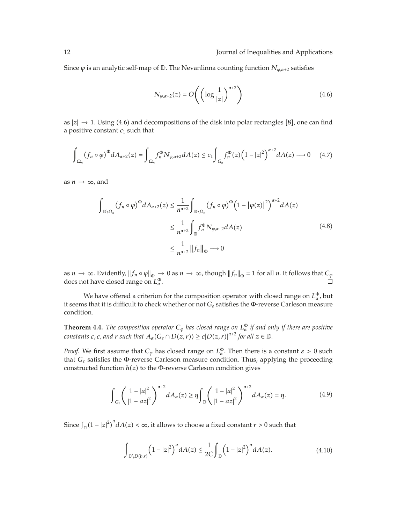Since  $\varphi$  is an analytic self-map of  $\mathbb{D}$ . The Nevanlinna counting function  $N_{\varphi, \alpha+2}$  satisfies

$$
N_{\varphi,\alpha+2}(z) = O\left(\left(\log\frac{1}{|z|}\right)^{\alpha+2}\right)
$$
\n(4.6)

as  $|z| \to 1$ . Using (4.6) and decompositions of the disk into polar rectangles [8], one can find a positive constant  $c_1$  such that

$$
\int_{\Omega_n} (f_n \circ \varphi)^{\Phi} dA_{\alpha+2}(z) = \int_{\Omega_n} f_n^{\Phi} N_{\varphi, \alpha+2} dA(z) \le c_1 \int_{G_n} f_n^{\Phi}(z) \left(1 - |z|^2\right)^{\alpha+2} dA(z) \longrightarrow 0 \quad (4.7)
$$

as  $n \to \infty$ , and

$$
\int_{\mathbb{D}\setminus\Omega_{n}} (f_{n} \circ \varphi)^{\Phi} dA_{\alpha+2}(z) \leq \frac{1}{n^{\alpha+2}} \int_{\mathbb{D}\setminus\Omega_{n}} (f_{n} \circ \varphi)^{\Phi} (1 - |\varphi(z)|^{2})^{\alpha+2} dA(z)
$$
\n
$$
\leq \frac{1}{n^{\alpha+2}} \int_{\mathbb{D}} f_{n}^{\Phi} N_{\varphi, \alpha+2} dA(z)
$$
\n
$$
\leq \frac{1}{n^{\alpha+2}} ||f_{n}||_{\Phi} \longrightarrow 0
$$
\n(4.8)

as *n* → ∞. Evidently,  $||f_n \circ \varphi||_{\Phi} \to 0$  as  $n \to \infty$ , though  $||f_n||_{\Phi} = 1$  for all *n*. It follows that  $C_{\varphi}$  does not have closed range on  $L^{\Phi}$ . does not have closed range on  $L^{\Phi}_{\alpha}$ .

We have offered a criterion for the composition operator with closed range on  $L_{\alpha}^{\Phi}$ , but it seems that it is difficult to check whether or not *Gε* satisfies the Φ-reverse Carleson measure condition.

**Theorem 4.4.** *The composition operator*  $C_{\varphi}$  *has closed range on*  $L^{\Phi}_{\alpha}$  *if and only if there are positive constants*  $\varepsilon$ , *c*, and  $r$  such that  $A_\alpha(G_\varepsilon \cap D(z,r)) \ge c|D(z,r)|^{\alpha+2}$  for all  $z \in \mathbb{D}$ .

*Proof.* We first assume that  $C_\varphi$  has closed range on  $L_\alpha^{\Phi}$ . Then there is a constant  $\varepsilon > 0$  such that *Gε* satisfies the Φ-reverse Carleson measure condition. Thus, applying the proceeding constructed function  $h(z)$  to the  $\Phi$ -reverse Carleson condition gives

$$
\int_{G_{\varepsilon}} \left( \frac{1-|a|^2}{|1-\overline{a}z|^2} \right)^{\alpha+2} dA_{\alpha}(z) \ge \eta \int_{\mathbb{D}} \left( \frac{1-|a|^2}{|1-\overline{a}z|^2} \right)^{\alpha+2} dA_{\alpha}(z) = \eta. \tag{4.9}
$$

Since  $\int_{\mathbb{D}} (1-|z|^2)^{\alpha} dA(z) < \infty$ , it allows to choose a fixed constant  $r > 0$  such that

$$
\int_{\mathbb{D}\setminus D(b,r)} \left(1-|z|^2\right)^{\alpha} dA(z) \le \frac{1}{2C} \int_{\mathbb{D}} \left(1-|z|^2\right)^{\alpha} dA(z). \tag{4.10}
$$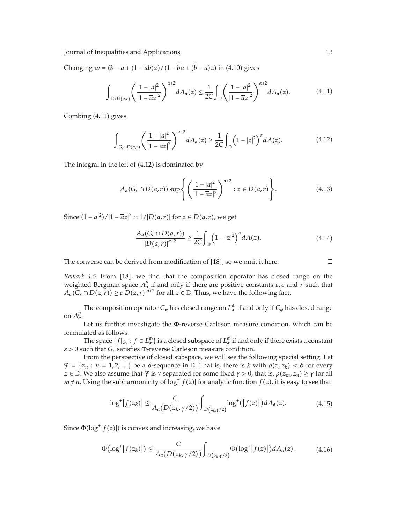Changing  $w = (b - a + (1 - \overline{a}b)z)/(1 - ba + (b - \overline{a})z)$  in (4.10) gives

$$
\int_{\mathbb{D}\setminus D(a,r)} \left(\frac{1-|a|^2}{|1-\overline{a}z|^2}\right)^{\alpha+2} dA_{\alpha}(z) \le \frac{1}{2C} \int_{\mathbb{D}} \left(\frac{1-|a|^2}{|1-\overline{a}z|^2}\right)^{\alpha+2} dA_{\alpha}(z). \tag{4.11}
$$

Combing (4.11) gives

$$
\int_{G_{\varepsilon} \cap D(a,r)} \left( \frac{1-|a|^2}{|1-\overline{a}z|^2} \right)^{\alpha+2} dA_{\alpha}(z) \ge \frac{1}{2C} \int_{\mathbb{D}} \left( 1-|z|^2 \right)^{\alpha} dA(z). \tag{4.12}
$$

The integral in the left of (4.12) is dominated by

$$
A_{\alpha}(G_{\varepsilon} \cap D(a,r)) \sup \left\{ \left( \frac{1-|a|^2}{|1-\overline{a}z|^2} \right)^{\alpha+2} : z \in D(a,r) \right\}.
$$
 (4.13)

Since  $(1 - a|^2)/|1 - \overline{a}z|^2$  ≍  $1/|D(a, r)|$  for  $z \in D(a, r)$ , we get

$$
\frac{A_{\alpha}(G_{\varepsilon}\cap D(a,r))}{|D(a,r)|^{\alpha+2}} \geq \frac{1}{2C} \int_{\mathbb{D}} \left(1-|z|^2\right)^{\alpha} dA(z). \tag{4.14}
$$

The converse can be derived from modification of  $[18]$ , so we omit it here.

*Remark 4.5.* From [18], we find that the composition operator has closed range on the weighted Bergman space  $A^p_\alpha$  if and only if there are positive constants  $\varepsilon$ , c and  $r$  such that  $A_\alpha(G_\varepsilon \cap D(z,r)) \ge c|D(z,r)|^{\alpha+2}$  for all  $z \in \mathbb{D}$ . Thus, we have the following fact.

The composition operator  $C_\varphi$  has closed range on  $L_\alpha^\Phi$  if and only if  $C_\varphi$  has closed range on *Ap α*.

Let us further investigate the Φ-reverse Carleson measure condition, which can be formulated as follows.

The space  $\{f|_{G_{\varepsilon}}: f \in L^{\Phi}_{\alpha}\}$  is a closed subspace of  $L^{\Phi}_{\alpha}$  if and only if there exists a constant *ε >* 0 such that *Gε* satisfies Φ-reverse Carleson measure condition.

From the perspective of closed subspace, we will see the following special setting. Let  $\mathcal{F} = \{z_n : n = 1, 2, ...\}$  be a *δ*-sequence in  $\mathbb{D}$ . That is, there is *k* with  $\rho(z, z_k) < \delta$  for every *z* ∈  $\mathbb{D}$ . We also assume that  $\mathcal{F}$  is  $\gamma$  separated for some fixed  $\gamma > 0$ , that is,  $\rho(z_m, z_n) \ge \gamma$  for all  $m \neq n$ . Using the subharmonicity of  $\log^+ |f(z)|$  for analytic function  $f(z)$ , it is easy to see that

$$
\log^+|f(z_k)| \leq \frac{C}{A_\alpha(D(z_k, \gamma/2))} \int_{D(z_k, \gamma/2)} \log^+(|f(z)|) dA_\alpha(z). \tag{4.15}
$$

Since  $\Phi(\log^+ | f(z)|)$  is convex and increasing, we have

$$
\Phi(\log^+|f(z_k)|) \leq \frac{C}{A_\alpha(D(z_k,\gamma/2))} \int_{D(z_k,\gamma/2)} \Phi(\log^+|f(z)|) dA_\alpha(z). \tag{4.16}
$$

 $\Box$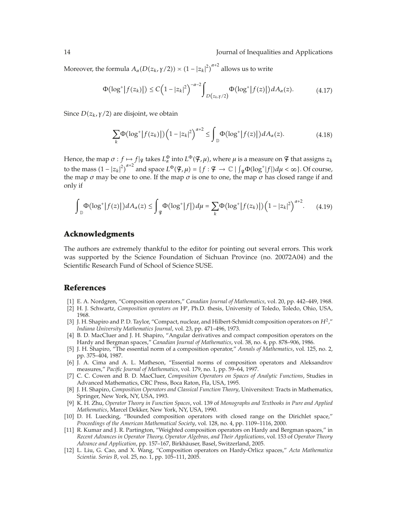Moreover, the formula  $A_{\alpha}(D(z_k, \gamma/2)) \asymp (1-|z_k|^2)^{\alpha+2}$  allows us to write

$$
\Phi(\log^+|f(z_k)|) \le C\Big(1-|z_k|^2\Big)^{-\alpha-2} \int_{D(z_k,\gamma/2)} \Phi(\log^+|f(z)|) dA_\alpha(z). \tag{4.17}
$$

Since *D*(*z<sub>k</sub>,γ/*2) are disjoint, we obtain

$$
\sum_{k} \Phi\big(\log^{+}|f(z_{k})|\big)\Big(1-|z_{k}|^{2}\Big)^{\alpha+2} \leq \int_{\mathbb{D}} \Phi\big(\log^{+}|f(z)|\big)dA_{\alpha}(z). \tag{4.18}
$$

Hence, the map  $\sigma: f \mapsto f | \sigma$  takes  $L^{\Phi}_{\alpha}$  into  $L^{\Phi}(\mathcal{F}, \mu)$ , where  $\mu$  is a measure on  $\mathcal F$  that assigns  $z_k$ to the mass  $(1 - |z_k|^2)^{\alpha+2}$  and space  $L^\Phi(\mathcal{F}, \mu) = \{f : \mathcal{F} \to \mathbb{C} \mid \int_{\mathcal{F}} \Phi(\log^+|f|) d\mu < \infty\}$ . Of course, the map  $\sigma$  may be one to one. If the map  $\sigma$  is one to one, the map  $\sigma$  has closed range if and only if

$$
\int_{\mathbb{D}} \Phi(\log^+|f(z)|) dA_{\alpha}(z) \le \int_{\mathcal{F}} \Phi(\log^+|f|) d\mu = \sum_{k} \Phi(\log^+|f(z_k)|) \left(1 - |z_k|^2\right)^{\alpha+2}.\tag{4.19}
$$

#### **Acknowledgments**

The authors are extremely thankful to the editor for pointing out several errors. This work was supported by the Science Foundation of Sichuan Province (no. 20072A04) and the Scientific Research Fund of School of Science SUSE.

#### **References**

- 1 E. A. Nordgren, "Composition operators," *Canadian Journal of Mathematics*, vol. 20, pp. 442–449, 1968.
- [2] H. J. Schwartz, *Composition operators on* H<sup>p</sup>, Ph.D. thesis, University of Toledo, Toledo, Ohio, USA, 1968.
- 3 J. H. Shapiro and P. D. Taylor, "Compact, nuclear, and Hilbert-Schmidt composition operators on *H*2," *Indiana University Mathematics Journal*, vol. 23, pp. 471–496, 1973.
- [4] B. D. MacCluer and J. H. Shapiro, "Angular derivatives and compact composition operators on the Hardy and Bergman spaces," *Canadian Journal of Mathematics*, vol. 38, no. 4, pp. 878–906, 1986.
- 5 J. H. Shapiro, "The essential norm of a composition operator," *Annals of Mathematics*, vol. 125, no. 2, pp. 375–404, 1987.
- [6] J. A. Cima and A. L. Matheson, "Essential norms of composition operators and Aleksandrov measures," *Pacific Journal of Mathematics*, vol. 179, no. 1, pp. 59–64, 1997.
- [7] C. C. Cowen and B. D. MacCluer, *Composition Operators on Spaces of Analytic Functions*, Studies in Advanced Mathematics, CRC Press, Boca Raton, Fla, USA, 1995.
- [8] J. H. Shapiro, *Composition Operators and Classical Function Theory*, Universitext: Tracts in Mathematics, Springer, New York, NY, USA, 1993.
- 9 K. H. Zhu, *Operator Theory in Function Spaces*, vol. 139 of *Monographs and Textbooks in Pure and Applied Mathematics*, Marcel Dekker, New York, NY, USA, 1990.
- [10] D. H. Luecking, "Bounded composition operators with closed range on the Dirichlet space," *Proceedings of the American Mathematical Society*, vol. 128, no. 4, pp. 1109–1116, 2000.
- [11] R. Kumar and J. R. Partington, "Weighted composition operators on Hardy and Bergman spaces," in *Recent Advances in Operator Theory, Operator Algebras, and Their Applications*, vol. 153 of *Operator Theory Advance and Application*, pp. 157–167, Birkhauser, Basel, Switzerland, 2005. ¨
- 12 L. Liu, G. Cao, and X. Wang, "Composition operators on Hardy-Orlicz spaces," *Acta Mathematica Scientia. Series B*, vol. 25, no. 1, pp. 105–111, 2005.